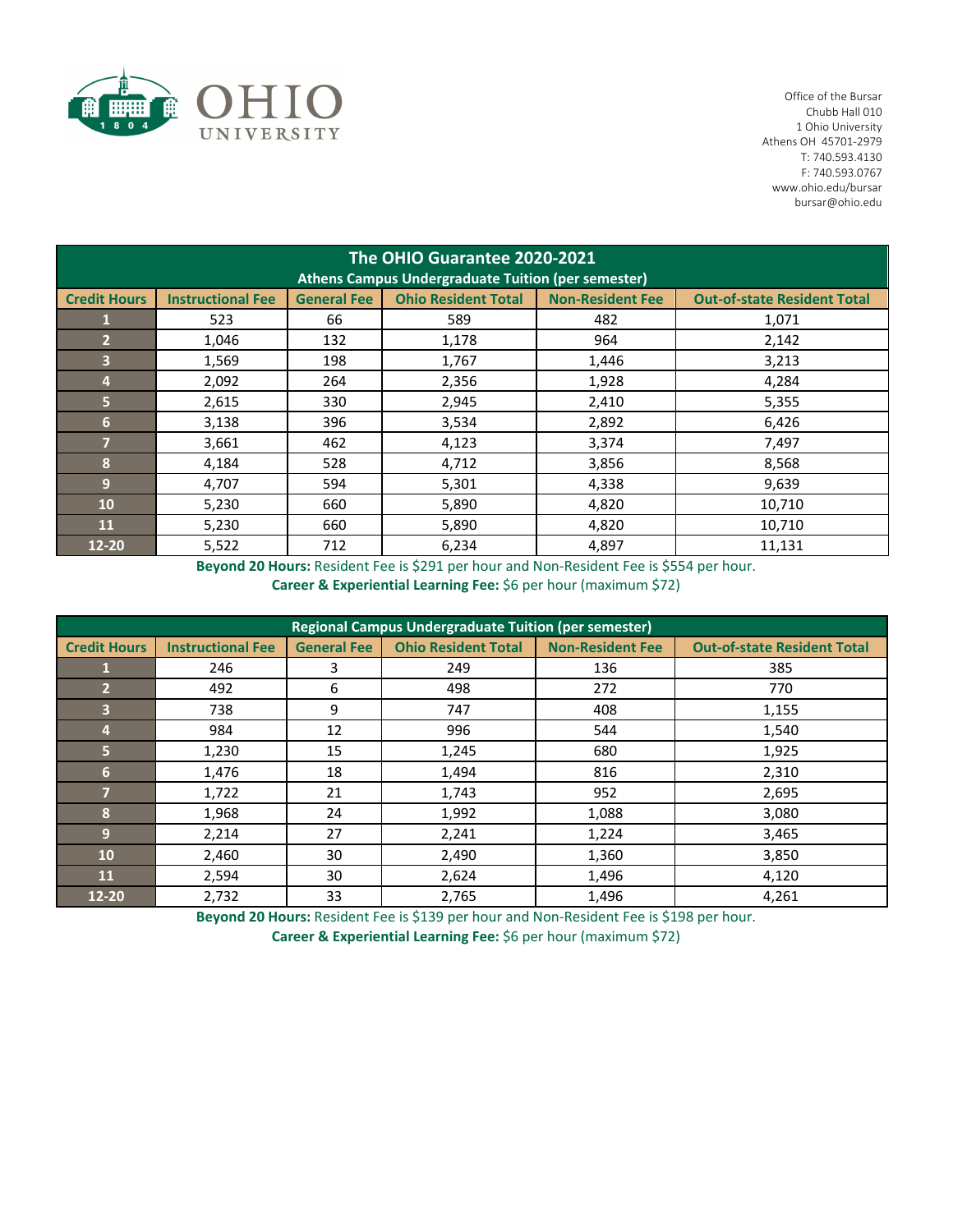

 Office of the Bursar Chubb Hall 010 Ohio University Athens OH 45701‐2979 T: 740.593.4130 F: 740.593.0767 www.ohio.edu/bursar bursar@ohio.edu

| The OHIO Guarantee 2020-2021<br><b>Athens Campus Undergraduate Tuition (per semester)</b> |                          |                    |                            |                         |                                    |  |  |
|-------------------------------------------------------------------------------------------|--------------------------|--------------------|----------------------------|-------------------------|------------------------------------|--|--|
| <b>Credit Hours</b>                                                                       | <b>Instructional Fee</b> | <b>General Fee</b> | <b>Ohio Resident Total</b> | <b>Non-Resident Fee</b> | <b>Out-of-state Resident Total</b> |  |  |
|                                                                                           | 523                      | 66                 | 589                        | 482                     | 1,071                              |  |  |
| $\overline{2}$                                                                            | 1,046                    | 132                | 1,178                      | 964                     | 2,142                              |  |  |
| 3                                                                                         | 1,569                    | 198                | 1,767                      | 1,446                   | 3,213                              |  |  |
| $\overline{4}$                                                                            | 2,092                    | 264                | 2,356                      | 1,928                   | 4,284                              |  |  |
| $\overline{5}$                                                                            | 2,615                    | 330                | 2,945                      | 2,410                   | 5,355                              |  |  |
| 6                                                                                         | 3,138                    | 396                | 3,534                      | 2,892                   | 6,426                              |  |  |
| $\overline{7}$                                                                            | 3,661                    | 462                | 4,123                      | 3,374                   | 7,497                              |  |  |
| 8                                                                                         | 4,184                    | 528                | 4,712                      | 3,856                   | 8,568                              |  |  |
| 9                                                                                         | 4,707                    | 594                | 5,301                      | 4,338                   | 9,639                              |  |  |
| 10                                                                                        | 5,230                    | 660                | 5,890                      | 4,820                   | 10,710                             |  |  |
| 11                                                                                        | 5,230                    | 660                | 5,890                      | 4,820                   | 10,710                             |  |  |
| $12 - 20$                                                                                 | 5,522                    | 712                | 6,234                      | 4,897                   | 11,131                             |  |  |

**Beyond 20 Hours:** Resident Fee is \$291 per hour and Non‐Resident Fee is \$554 per hour. **Career & Experiential Learning Fee:** \$6 per hour (maximum \$72)

| <b>Regional Campus Undergraduate Tuition (per semester)</b> |                          |                    |                            |                         |                                    |  |  |
|-------------------------------------------------------------|--------------------------|--------------------|----------------------------|-------------------------|------------------------------------|--|--|
| <b>Credit Hours</b>                                         | <b>Instructional Fee</b> | <b>General Fee</b> | <b>Ohio Resident Total</b> | <b>Non-Resident Fee</b> | <b>Out-of-state Resident Total</b> |  |  |
|                                                             | 246                      | 3                  | 249                        | 136                     | 385                                |  |  |
| $\overline{2}$                                              | 492                      | 6                  | 498                        | 272                     | 770                                |  |  |
| 3                                                           | 738                      | 9                  | 747                        | 408                     | 1,155                              |  |  |
| 4                                                           | 984                      | 12                 | 996                        | 544                     | 1,540                              |  |  |
| 5                                                           | 1,230                    | 15                 | 1,245                      | 680                     | 1,925                              |  |  |
| 6                                                           | 1,476                    | 18                 | 1,494                      | 816                     | 2,310                              |  |  |
| 7                                                           | 1,722                    | 21                 | 1,743                      | 952                     | 2,695                              |  |  |
| 8                                                           | 1,968                    | 24                 | 1,992                      | 1,088                   | 3,080                              |  |  |
| 9                                                           | 2,214                    | 27                 | 2,241                      | 1,224                   | 3,465                              |  |  |
| 10                                                          | 2,460                    | 30                 | 2,490                      | 1,360                   | 3,850                              |  |  |
| <b>11</b>                                                   | 2,594                    | 30                 | 2,624                      | 1,496                   | 4,120                              |  |  |
| 12-20                                                       | 2,732                    | 33                 | 2,765                      | 1,496                   | 4,261                              |  |  |

**Beyond 20 Hours:** Resident Fee is \$139 per hour and Non‐Resident Fee is \$198 per hour. **Career & Experiential Learning Fee:** \$6 per hour (maximum \$72)